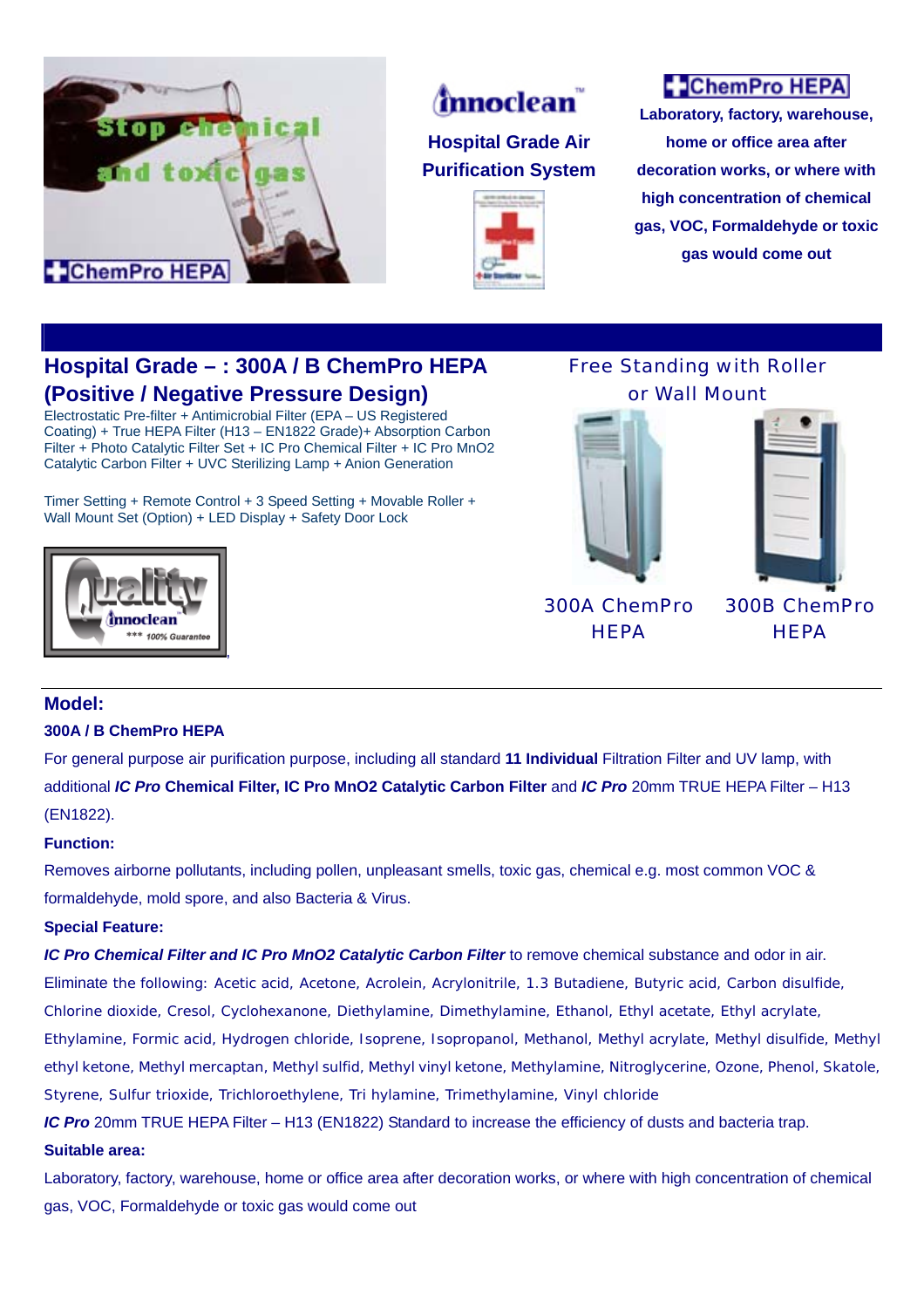



## **Hospital Grade Air Purification System**



# **C** ChemPro HEPA

**Laboratory, factory, warehouse, home or office area after decoration works, or where with high concentration of chemical gas, VOC, Formaldehyde or toxic gas would come out**

## **Hospital Grade – : 300A / B ChemPro HEPA (Positive / Negative Pressure Design)**

Electrostatic Pre-filter + Antimicrobial Filter (EPA – US Registered Coating) + True HEPA Filter (H13 – EN1822 Grade)+ Absorption Carbon Filter + Photo Catalytic Filter Set + IC Pro Chemical Filter + IC Pro MnO2 Catalytic Carbon Filter + UVC Sterilizing Lamp + Anion Generation

Timer Setting + Remote Control + 3 Speed Setting + Movable Roller + Wall Mount Set (Option) + LED Display + Safety Door Lock



### Free Standing with Roller or Wall Mount



300A ChemPro **HEPA** 

300B ChemPro **HEPA** 

### **Model:**

#### **300A / B ChemPro HEPA**

For general purpose air purification purpose, including all standard **11 Individual** Filtration Filter and UV lamp, with additional *IC Pro* **Chemical Filter, IC Pro MnO2 Catalytic Carbon Filter** and *IC Pro* 20mm TRUE HEPA Filter – H13 (EN1822).

#### **Function:**

Removes airborne pollutants, including pollen, unpleasant smells, toxic gas, chemical e.g. most common VOC & formaldehyde, mold spore, and also Bacteria & Virus.

#### **Special Feature:**

*IC Pro Chemical Filter and IC Pro MnO2 Catalytic Carbon Filter* to remove chemical substance and odor in air.

Eliminate the following: Acetic acid, Acetone, Acrolein, Acrylonitrile, 1.3 Butadiene, Butyric acid, Carbon disulfide,

Chlorine dioxide, Cresol, Cyclohexanone, Diethylamine, Dimethylamine, Ethanol, Ethyl acetate, Ethyl acrylate,

Ethylamine, Formic acid, Hydrogen chloride, Isoprene, Isopropanol, Methanol, Methyl acrylate, Methyl disulfide, Methyl ethyl ketone, Methyl mercaptan, Methyl sulfid, Methyl vinyl ketone, Methylamine, Nitroglycerine, Ozone, Phenol, Skatole, Styrene, Sulfur trioxide, Trichloroethylene, Tri hylamine, Trimethylamine, Vinyl chloride

*IC Pro* 20mm TRUE HEPA Filter – H13 (EN1822) Standard to increase the efficiency of dusts and bacteria trap.

#### **Suitable area:**

Laboratory, factory, warehouse, home or office area after decoration works, or where with high concentration of chemical gas, VOC, Formaldehyde or toxic gas would come out